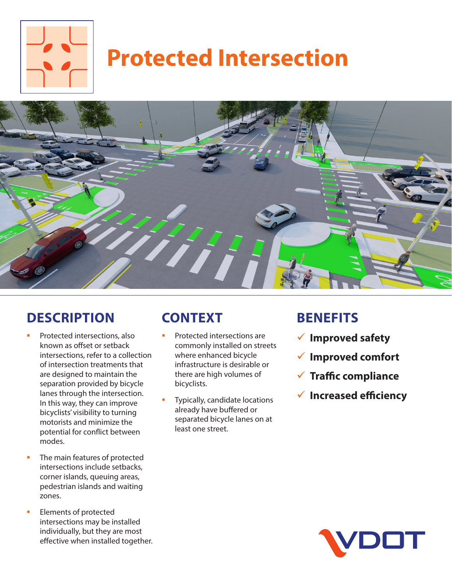

# **Protected Intersection**



#### **DESCRIPTION**

- Protected intersections, also known as offset or setback intersections, refer to a collection of intersection treatments that are designed to maintain the separation provided by bicycle lanes through the intersection. In this way, they can improve bicyclists' visibility to turning motorists and minimize the potential for conflict between modes.
- The main features of protected intersections include setbacks, corner islands, queuing areas, pedestrian islands and waiting zones.
- Elements of protected intersections may be installed individually, but they are most effective when installed together.

## **CONTEXT**

- Protected intersections are commonly installed on streets where enhanced bicycle infrastructure is desirable or there are high volumes of bicyclists.
- Typically, candidate locations already have buffered or separated bicycle lanes on at least one street.

#### **BENEFITS**

- 9 **Improved safety**
- 9 **Improved comfort**
- 9 **Traffic compliance**
- 9 **Increased efficiency**